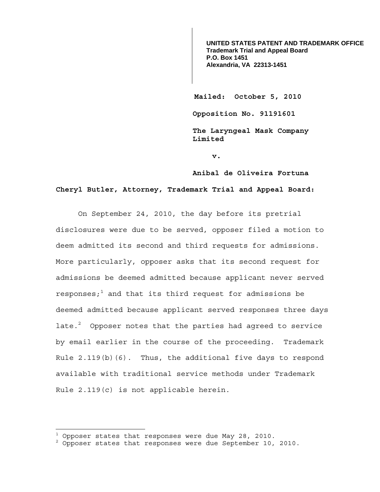**UNITED STATES PATENT AND TRADEMARK OFFICE Trademark Trial and Appeal Board P.O. Box 1451 Alexandria, VA 22313-1451**

**Mailed: October 5, 2010** 

**Opposition No. 91191601** 

**The Laryngeal Mask Company Limited** 

**v.** 

**Anibal de Oliveira Fortuna** 

## **Cheryl Butler, Attorney, Trademark Trial and Appeal Board:**

 On September 24, 2010, the day before its pretrial disclosures were due to be served, opposer filed a motion to deem admitted its second and third requests for admissions. More particularly, opposer asks that its second request for admissions be deemed admitted because applicant never served responses; $^{\rm 1}$  and that its third request for admissions be deemed admitted because applicant served responses three days late. $^2$  Opposer notes that the parties had agreed to service by email earlier in the course of the proceeding. Trademark Rule 2.119(b)(6). Thus, the additional five days to respond available with traditional service methods under Trademark Rule 2.119(c) is not applicable herein.

 $\overline{a}$ 

 $^{\rm 1}$  Opposer states that responses were due May 28, 2010.

<sup>&</sup>lt;sup>2</sup> Opposer states that responses were due September 10, 2010.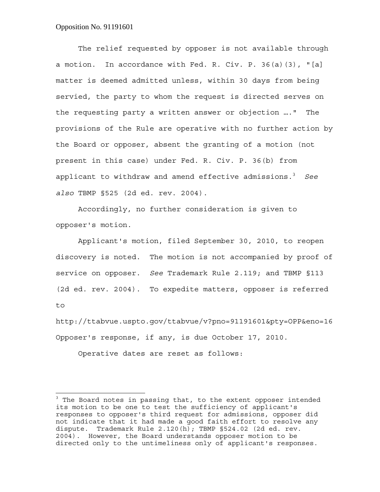## Opposition No. 91191601

1

 The relief requested by opposer is not available through a motion. In accordance with Fed. R. Civ. P. 36(a)(3), "[a] matter is deemed admitted unless, within 30 days from being servied, the party to whom the request is directed serves on the requesting party a written answer or objection …." The provisions of the Rule are operative with no further action by the Board or opposer, absent the granting of a motion (not present in this case) under Fed. R. Civ. P. 36(b) from applicant to withdraw and amend effective admissions.3 *See also* TBMP §525 (2d ed. rev. 2004).

 Accordingly, no further consideration is given to opposer's motion.

 Applicant's motion, filed September 30, 2010, to reopen discovery is noted. The motion is not accompanied by proof of service on opposer. *See* Trademark Rule 2.119; and TBMP §113 (2d ed. rev. 2004). To expedite matters, opposer is referred to

http://ttabvue.uspto.gov/ttabvue/v?pno=91191601&pty=OPP&eno=16 Opposer's response, if any, is due October 17, 2010.

Operative dates are reset as follows:

<sup>&</sup>lt;sup>3</sup> The Board notes in passing that, to the extent opposer intended its motion to be one to test the sufficiency of applicant's responses to opposer's third request for admissions, opposer did not indicate that it had made a good faith effort to resolve any dispute. Trademark Rule  $2.120(h)$ ; TBMP §524.02 (2d ed. rev. 2004). However, the Board understands opposer motion to be directed only to the untimeliness only of applicant's responses.